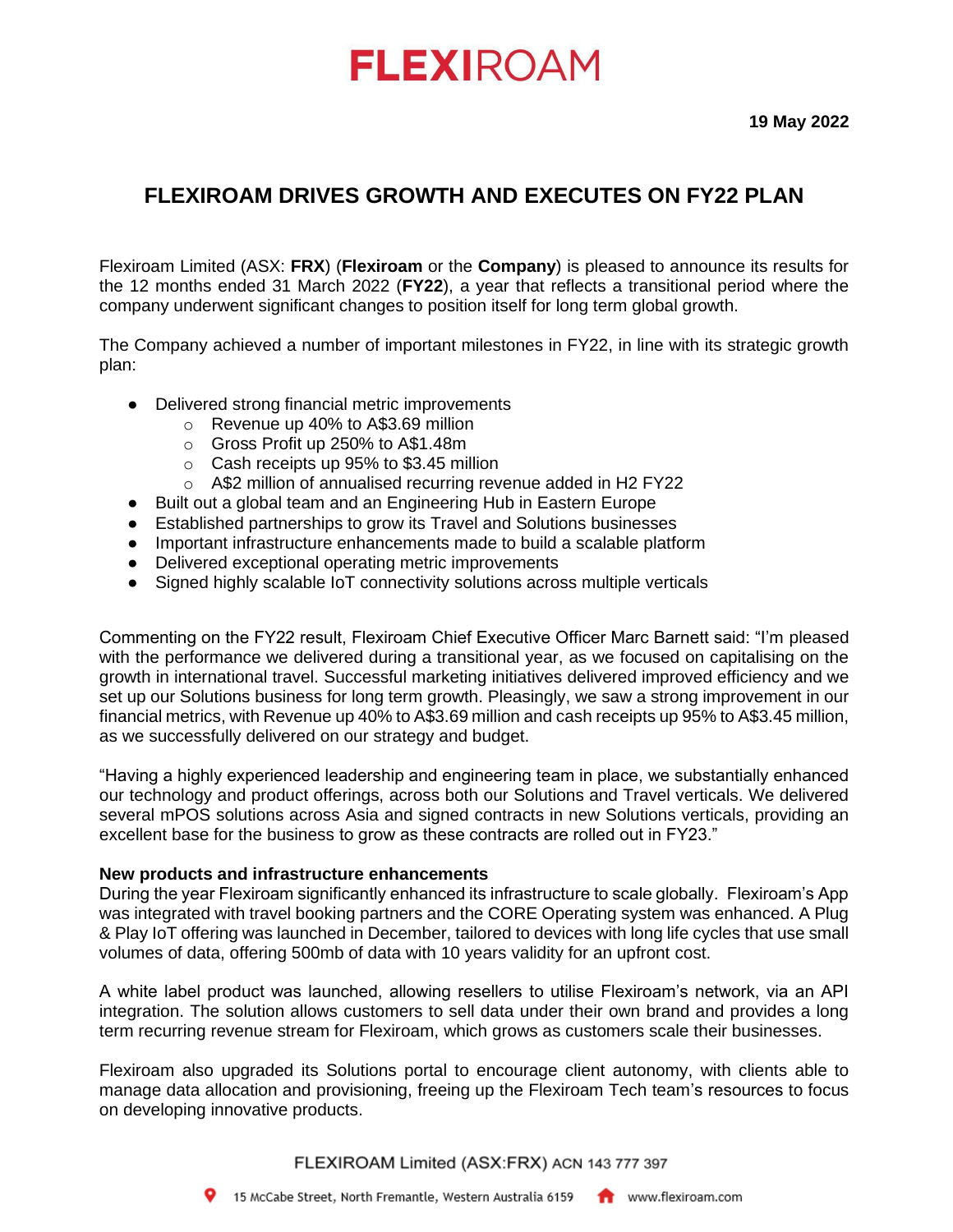# **FLEXIROAM**

### **FLEXIROAM DRIVES GROWTH AND EXECUTES ON FY22 PLAN**

Flexiroam Limited (ASX: **FRX**) (**Flexiroam** or the **Company**) is pleased to announce its results for the 12 months ended 31 March 2022 (**FY22**), a year that reflects a transitional period where the company underwent significant changes to position itself for long term global growth.

The Company achieved a number of important milestones in FY22, in line with its strategic growth plan:

- Delivered strong financial metric improvements
	- o Revenue up 40% to A\$3.69 million
	- o Gross Profit up 250% to A\$1.48m
	- o Cash receipts up 95% to \$3.45 million
	- o A\$2 million of annualised recurring revenue added in H2 FY22
- Built out a global team and an Engineering Hub in Eastern Europe
- Established partnerships to grow its Travel and Solutions businesses
- Important infrastructure enhancements made to build a scalable platform
- Delivered exceptional operating metric improvements
- Signed highly scalable IoT connectivity solutions across multiple verticals

Commenting on the FY22 result, Flexiroam Chief Executive Officer Marc Barnett said: "I'm pleased with the performance we delivered during a transitional year, as we focused on capitalising on the growth in international travel. Successful marketing initiatives delivered improved efficiency and we set up our Solutions business for long term growth. Pleasingly, we saw a strong improvement in our financial metrics, with Revenue up 40% to A\$3.69 million and cash receipts up 95% to A\$3.45 million, as we successfully delivered on our strategy and budget.

"Having a highly experienced leadership and engineering team in place, we substantially enhanced our technology and product offerings, across both our Solutions and Travel verticals. We delivered several mPOS solutions across Asia and signed contracts in new Solutions verticals, providing an excellent base for the business to grow as these contracts are rolled out in FY23."

### **New products and infrastructure enhancements**

During the year Flexiroam significantly enhanced its infrastructure to scale globally. Flexiroam's App was integrated with travel booking partners and the CORE Operating system was enhanced. A Plug & Play IoT offering was launched in December, tailored to devices with long life cycles that use small volumes of data, offering 500mb of data with 10 years validity for an upfront cost.

A white label product was launched, allowing resellers to utilise Flexiroam's network, via an API integration. The solution allows customers to sell data under their own brand and provides a long term recurring revenue stream for Flexiroam, which grows as customers scale their businesses.

Flexiroam also upgraded its Solutions portal to encourage client autonomy, with clients able to manage data allocation and provisioning, freeing up the Flexiroam Tech team's resources to focus on developing innovative products.

FLEXIROAM Limited (ASX:FRX) ACN 143 777 397

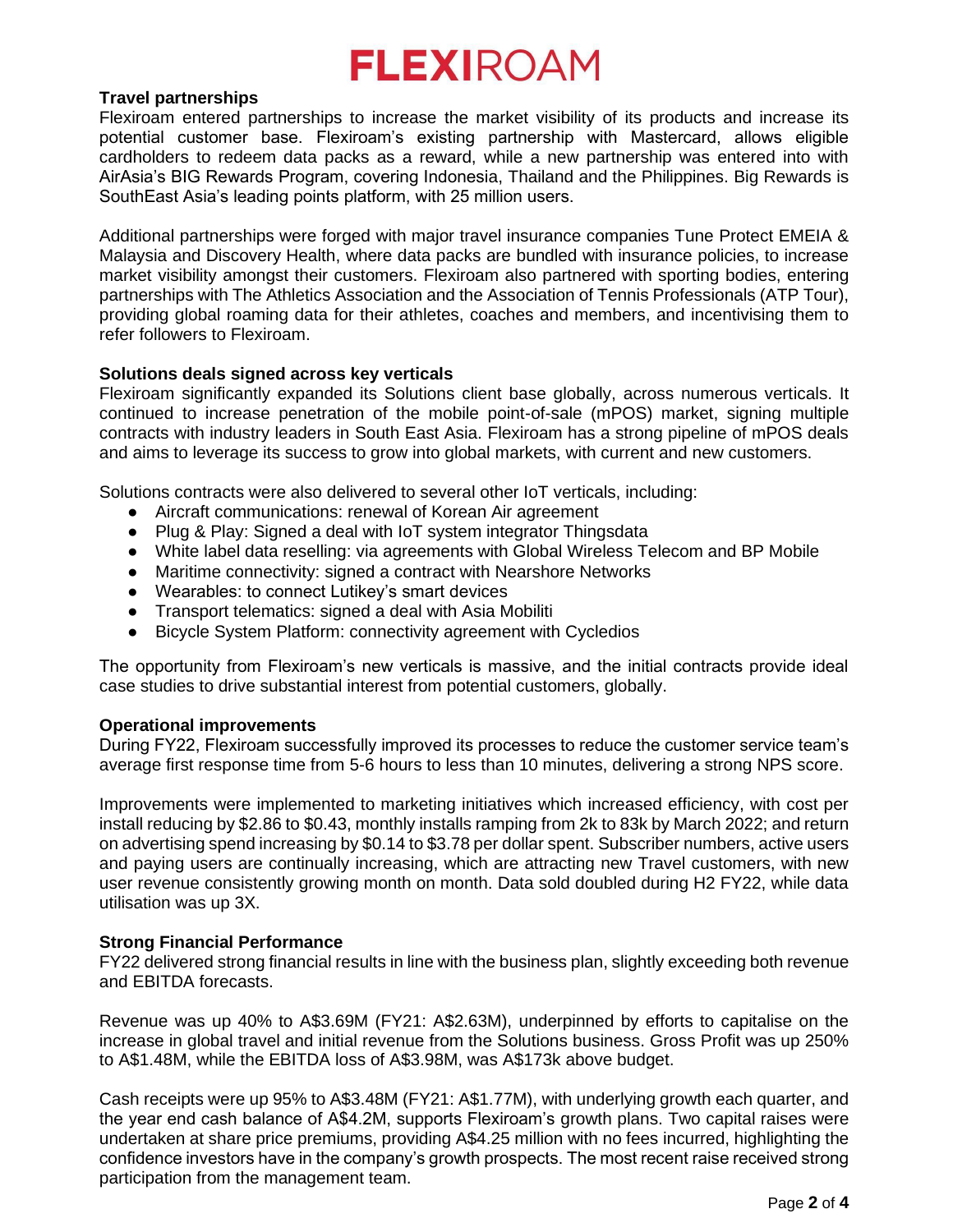## **FLEXIROAM**

### **Travel partnerships**

Flexiroam entered partnerships to increase the market visibility of its products and increase its potential customer base. Flexiroam's existing partnership with Mastercard, allows eligible cardholders to redeem data packs as a reward, while a new partnership was entered into with AirAsia's BIG Rewards Program, covering Indonesia, Thailand and the Philippines. Big Rewards is SouthEast Asia's leading points platform, with 25 million users.

Additional partnerships were forged with major travel insurance companies Tune Protect EMEIA & Malaysia and Discovery Health, where data packs are bundled with insurance policies, to increase market visibility amongst their customers. Flexiroam also partnered with sporting bodies, entering partnerships with The Athletics Association and the Association of Tennis Professionals (ATP Tour), providing global roaming data for their athletes, coaches and members, and incentivising them to refer followers to Flexiroam.

### **Solutions deals signed across key verticals**

Flexiroam significantly expanded its Solutions client base globally, across numerous verticals. It continued to increase penetration of the mobile point-of-sale (mPOS) market, signing multiple contracts with industry leaders in South East Asia. Flexiroam has a strong pipeline of mPOS deals and aims to leverage its success to grow into global markets, with current and new customers.

Solutions contracts were also delivered to several other IoT verticals, including:

- Aircraft communications: renewal of Korean Air agreement
- Plug & Play: Signed a deal with IoT system integrator Thingsdata
- White label data reselling: via agreements with Global Wireless Telecom and BP Mobile
- Maritime connectivity: signed a contract with Nearshore Networks
- Wearables: to connect Lutikey's smart devices
- Transport telematics: signed a deal with Asia Mobiliti
- Bicycle System Platform: connectivity agreement with Cycledios

The opportunity from Flexiroam's new verticals is massive, and the initial contracts provide ideal case studies to drive substantial interest from potential customers, globally.

### **Operational improvements**

During FY22, Flexiroam successfully improved its processes to reduce the customer service team's average first response time from 5-6 hours to less than 10 minutes, delivering a strong NPS score.

Improvements were implemented to marketing initiatives which increased efficiency, with cost per install reducing by \$2.86 to \$0.43, monthly installs ramping from 2k to 83k by March 2022; and return on advertising spend increasing by \$0.14 to \$3.78 per dollar spent. Subscriber numbers, active users and paying users are continually increasing, which are attracting new Travel customers, with new user revenue consistently growing month on month. Data sold doubled during H2 FY22, while data utilisation was up 3X.

### **Strong Financial Performance**

FY22 delivered strong financial results in line with the business plan, slightly exceeding both revenue and EBITDA forecasts.

Revenue was up 40% to A\$3.69M (FY21: A\$2.63M), underpinned by efforts to capitalise on the increase in global travel and initial revenue from the Solutions business. Gross Profit was up 250% to A\$1.48M, while the EBITDA loss of A\$3.98M, was A\$173k above budget.

Cash receipts were up 95% to A\$3.48M (FY21: A\$1.77M), with underlying growth each quarter, and the year end cash balance of A\$4.2M, supports Flexiroam's growth plans. Two capital raises were undertaken at share price premiums, providing A\$4.25 million with no fees incurred, highlighting the confidence investors have in the company's growth prospects. The most recent raise received strong participation from the management team.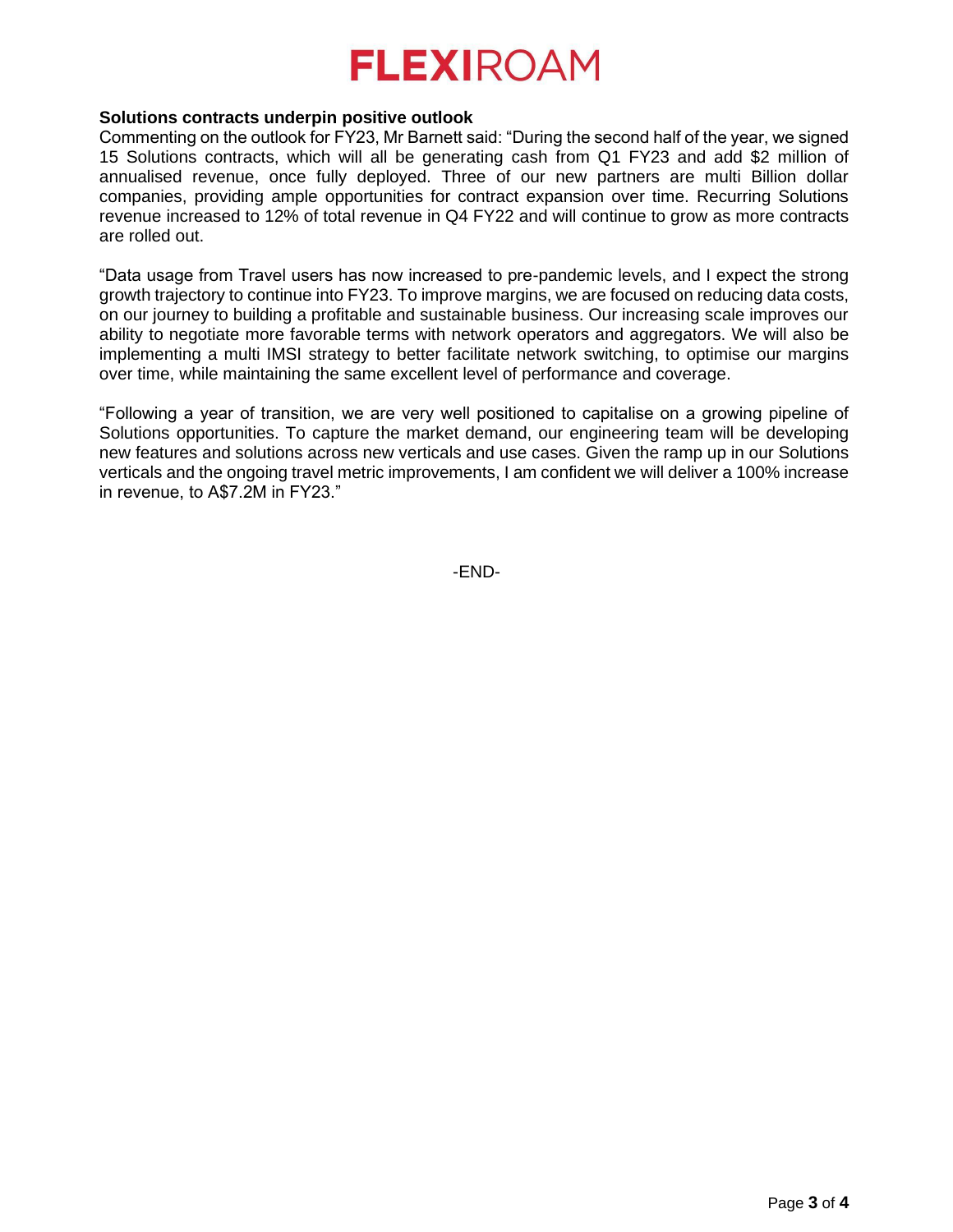## **FLEXIROAM**

### **Solutions contracts underpin positive outlook**

Commenting on the outlook for FY23, Mr Barnett said: "During the second half of the year, we signed 15 Solutions contracts, which will all be generating cash from Q1 FY23 and add \$2 million of annualised revenue, once fully deployed. Three of our new partners are multi Billion dollar companies, providing ample opportunities for contract expansion over time. Recurring Solutions revenue increased to 12% of total revenue in Q4 FY22 and will continue to grow as more contracts are rolled out.

"Data usage from Travel users has now increased to pre-pandemic levels, and I expect the strong growth trajectory to continue into FY23. To improve margins, we are focused on reducing data costs, on our journey to building a profitable and sustainable business. Our increasing scale improves our ability to negotiate more favorable terms with network operators and aggregators. We will also be implementing a multi IMSI strategy to better facilitate network switching, to optimise our margins over time, while maintaining the same excellent level of performance and coverage.

"Following a year of transition, we are very well positioned to capitalise on a growing pipeline of Solutions opportunities. To capture the market demand, our engineering team will be developing new features and solutions across new verticals and use cases. Given the ramp up in our Solutions verticals and the ongoing travel metric improvements, I am confident we will deliver a 100% increase in revenue, to A\$7.2M in FY23."

-END-